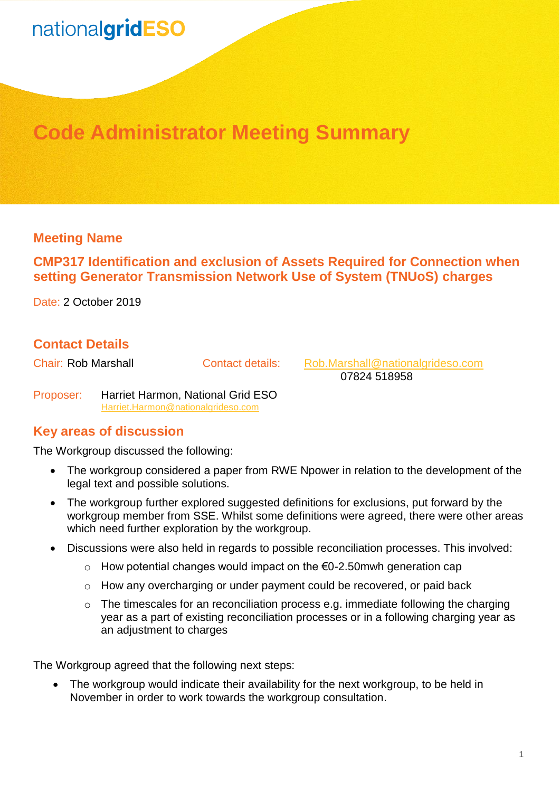## nationalgridESO

### **Code Administrator Meeting Summary**

#### **Meeting Name**

#### **CMP317 Identification and exclusion of Assets Required for Connection when setting Generator Transmission Network Use of System (TNUoS) charges**

Date: 2 October 2019

#### **Contact Details**

Chair: Rob Marshall Contact details: [Rob.Marshall@nationalgrideso.com](mailto:Rob.Marshall@nationalgrideso.com) 07824 518958

Proposer: Harriet Harmon, National Grid ESO [Harriet.Harmon@nationalgrideso.com](mailto:Harriet.Harmon@nationalgrideso.com)

#### **Key areas of discussion**

The Workgroup discussed the following:

- The workgroup considered a paper from RWE Npower in relation to the development of the legal text and possible solutions.
- The workgroup further explored suggested definitions for exclusions, put forward by the workgroup member from SSE. Whilst some definitions were agreed, there were other areas which need further exploration by the workgroup.
- Discussions were also held in regards to possible reconciliation processes. This involved:
	- o How potential changes would impact on the €0-2.50mwh generation cap
	- $\circ$  How any overcharging or under payment could be recovered, or paid back
	- $\circ$  The timescales for an reconciliation process e.g. immediate following the charging year as a part of existing reconciliation processes or in a following charging year as an adjustment to charges

The Workgroup agreed that the following next steps:

• The workgroup would indicate their availability for the next workgroup, to be held in November in order to work towards the workgroup consultation.